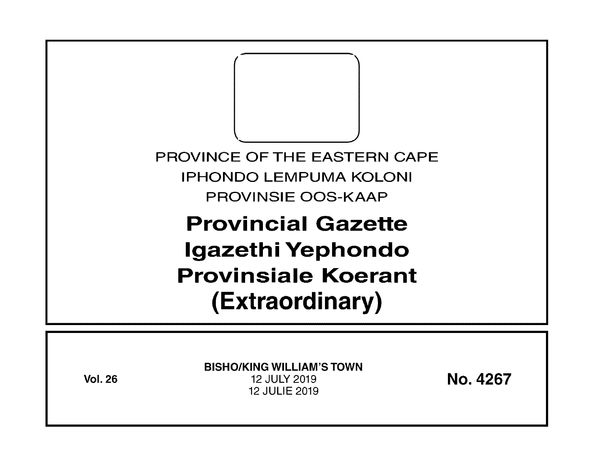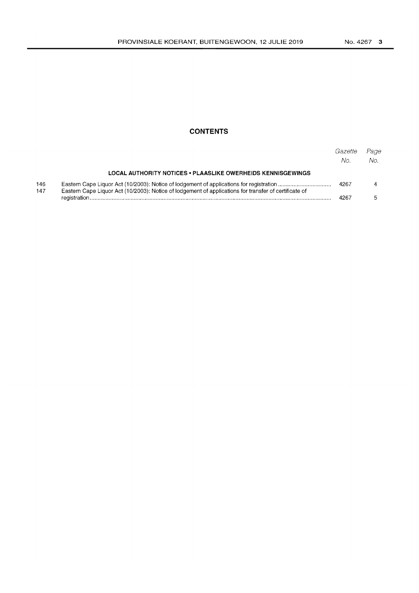# **CONTENTS**

|            |                                                                                                       | Gazette<br>No. | Page<br>No. |
|------------|-------------------------------------------------------------------------------------------------------|----------------|-------------|
|            | LOCAL AUTHORITY NOTICES . PLAASLIKE OWERHEIDS KENNISGEWINGS                                           |                |             |
| 146<br>147 | Eastern Cape Liquor Act (10/2003): Notice of lodgement of applications for transfer of certificate of | 4267           |             |
|            |                                                                                                       |                |             |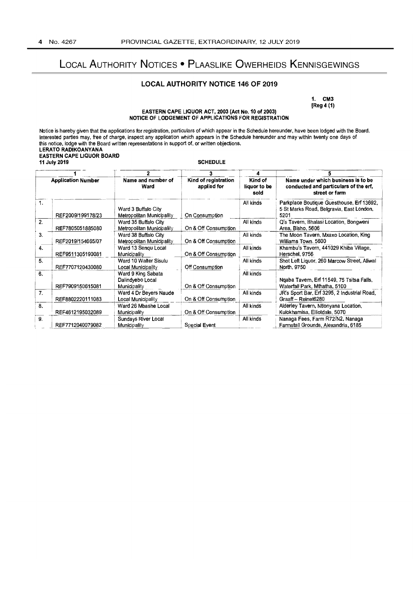# LOCAL AUTHORITY NOTICES . PLAASLIKE OWERHEIDS KENNISGEWINGS

# **LOCAL AUTHORITY NOTICE 146 OF 2019**

1. CM3  $[Reg 4 (1)]$ 

## EASTERN CAPE LIQUOR ACT, 2003 (Act No. 10 of 2003) NOTICE OF LODGEMENT OF APPLICATIONS FOR REGISTRATION

Notice is hereby given that the applications for registration, particulars of which appear in the Schedule hereunder, have been lodged with the Board. Notice is hereby given that the applications for registration, particulars of which appear in the Schedule hereunder, have been lodged with the Board interested parties may, free of charge, inspect any application which ap **SCHEDULE** 11 July 2019  $\overline{a}$  $\mathbf{r}$  $\overline{\phantom{a}}$  $\overline{\phantom{a}}$ ÷

| <b>Application Number</b> |                   | Name and number of<br>Ward                             | Kind of registration<br>applied for | Kind of<br>liquor to be<br>sold | Name under which business is to be<br>conducted and particulars of the erf,<br>street or farm |  |  |
|---------------------------|-------------------|--------------------------------------------------------|-------------------------------------|---------------------------------|-----------------------------------------------------------------------------------------------|--|--|
| 1.                        | REF2009/199178/23 | Ward 3 Buffalo City<br>Metropolitan Municipality       | On Consumption                      | All kinds                       | Parkplace Boutique Guesthouse, Erf 13692,<br>5 St Marks Road, Belgravia, East London,<br>5201 |  |  |
| 2.                        | REF7805051885080  | Ward 35 Buffalo City<br>Metropolitan Municipality      | On & Off Consumption                | All kinds                       | Q's Tavern, Bhalasi Location, Bongweni<br>Area, Bisho, 5606                                   |  |  |
| 3.                        | REF2019/154665/07 | Ward 38 Buffalo City<br>Metropolitan Municipality      | On & Off Consumption                | All kinds                       | The Moon Tavern, Mxaxo Location, King<br>Williams Town. 5600                                  |  |  |
| 4.                        | REF9511305190081  | Ward 13 Sengu Local<br>Municipality                    | On & Off Consumption                | All kinds                       | Khambu's Tavern, 441029 Khiba Village,<br>Herschel, 9756                                      |  |  |
| 5.                        | REF7707120430080  | Ward 10 Walter Sisulu<br>Local Municipality            | Off Consumption                     | All kinds                       | Shot Left Liquor, 260 Marcow Street, Aliwal<br>North, 9750                                    |  |  |
| 6.                        | REF7909150615081  | Ward 9 King Sabata<br>Dalindyebo Local<br>Municipality | On & Off Consumption                | All kinds                       | Ngaba Tavern, Erf 11549, 75 Tsitsa Falls,<br>Waterfall Park, Mthatha, 5100                    |  |  |
| 7.                        | REF8802220111083  | Ward 4 Dr Beyers Naude<br>Local Municipality           | On & Off Consumption                | All kinds                       | JR's Sport Bar, Erf 3295, 2 Industrial Road,<br>Graaff-Reinet6280                             |  |  |
| 8.                        | REF4612195032089  | Ward 26 Mbashe Local<br>Municipality                   | On & Off Consumption                | All kinds                       | Alderley Tavern, Ntlonyana Location,<br>Kulokhamisa, Elliotdale, 5070                         |  |  |
| 9.                        | REF7712040079082  | Sundays River Local<br>Municipality                    | Special Event                       | All kinds                       | Nanaga Fees, Farm R72/N2, Nanaga<br>Farmstall Grounds, Alexandria, 6185                       |  |  |